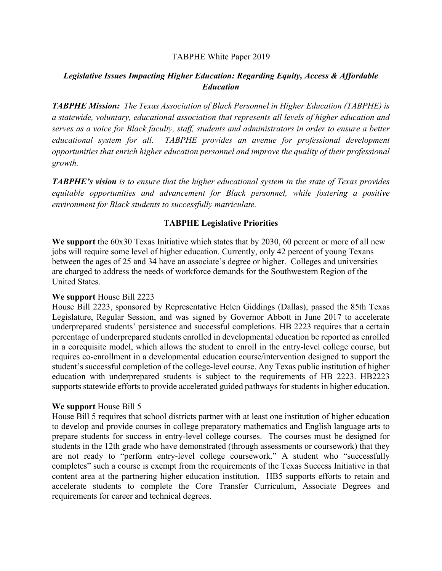## TABPHE White Paper 2019

# *Legislative Issues Impacting Higher Education: Regarding Equity, Access & Affordable Education*

*TABPHE Mission: The Texas Association of Black Personnel in Higher Education (TABPHE) is a statewide, voluntary, educational association that represents all levels of higher education and serves as a voice for Black faculty, staff, students and administrators in order to ensure a better educational system for all. TABPHE provides an avenue for professional development opportunities that enrich higher education personnel and improve the quality of their professional growth.* 

*TABPHE's vision is to ensure that the higher educational system in the state of Texas provides equitable opportunities and advancement for Black personnel, while fostering a positive environment for Black students to successfully matriculate.* 

## **TABPHE Legislative Priorities**

**We support** the 60x30 Texas Initiative which states that by 2030, 60 percent or more of all new jobs will require some level of higher education. Currently, only 42 percent of young Texans between the ages of 25 and 34 have an associate's degree or higher. Colleges and universities are charged to address the needs of workforce demands for the Southwestern Region of the United States.

### **We support** House Bill 2223

House Bill 2223, sponsored by Representative Helen Giddings (Dallas), passed the 85th Texas Legislature, Regular Session, and was signed by Governor Abbott in June 2017 to accelerate underprepared students' persistence and successful completions. HB 2223 requires that a certain percentage of underprepared students enrolled in developmental education be reported as enrolled in a corequisite model, which allows the student to enroll in the entry-level college course, but requires co-enrollment in a developmental education course/intervention designed to support the student's successful completion of the college-level course. Any Texas public institution of higher education with underprepared students is subject to the requirements of HB 2223. HB2223 supports statewide efforts to provide accelerated guided pathways for students in higher education.

### **We support** House Bill 5

House Bill 5 requires that school districts partner with at least one institution of higher education to develop and provide courses in college preparatory mathematics and English language arts to prepare students for success in entry-level college courses. The courses must be designed for students in the 12th grade who have demonstrated (through assessments or coursework) that they are not ready to "perform entry-level college coursework." A student who "successfully completes" such a course is exempt from the requirements of the Texas Success Initiative in that content area at the partnering higher education institution. HB5 supports efforts to retain and accelerate students to complete the Core Transfer Curriculum, Associate Degrees and requirements for career and technical degrees.